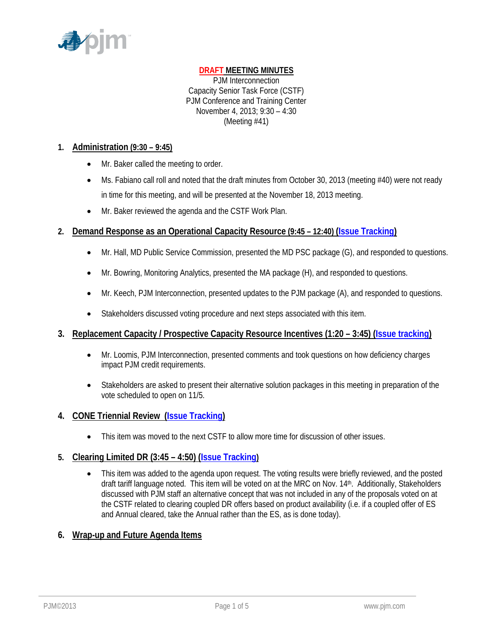

## **DRAFT MEETING MINUTES**

PJM Interconnection Capacity Senior Task Force (CSTF) PJM Conference and Training Center November 4, 2013; 9:30 – 4:30 (Meeting #41)

#### **1. Administration (9:30 – 9:45)**

- Mr. Baker called the meeting to order.
- Ms. Fabiano call roll and noted that the draft minutes from October 30, 2013 (meeting #40) were not ready in time for this meeting, and will be presented at the November 18, 2013 meeting.
- Mr. Baker reviewed the agenda and the CSTF Work Plan.

#### **2. Demand Response as an Operational Capacity Resource (9:45 – 12:40) (Issue Tracking)**

- Mr. Hall, MD Public Service Commission, presented the MD PSC package (G), and responded to questions.
- Mr. Bowring, Monitoring Analytics, presented the MA package (H), and responded to questions.
- Mr. Keech, PJM Interconnection, presented updates to the PJM package (A), and responded to questions.
- Stakeholders discussed voting procedure and next steps associated with this item.

#### **3. Replacement Capacity / Prospective Capacity Resource Incentives (1:20 – 3:45) (Issue tracking)**

- Mr. Loomis, PJM Interconnection, presented comments and took questions on how deficiency charges impact PJM credit requirements.
- Stakeholders are asked to present their alternative solution packages in this meeting in preparation of the vote scheduled to open on 11/5.

### **4. CONE Triennial Review (Issue Tracking)**

This item was moved to the next CSTF to allow more time for discussion of other issues.

### **5. Clearing Limited DR (3:45 – 4:50) (Issue Tracking)**

• This item was added to the agenda upon request. The voting results were briefly reviewed, and the posted draft tariff language noted. This item will be voted on at the MRC on Nov. 14th. Additionally, Stakeholders discussed with PJM staff an alternative concept that was not included in any of the proposals voted on at the CSTF related to clearing coupled DR offers based on product availability (i.e. if a coupled offer of ES and Annual cleared, take the Annual rather than the ES, as is done today).

### **6. Wrap-up and Future Agenda Items**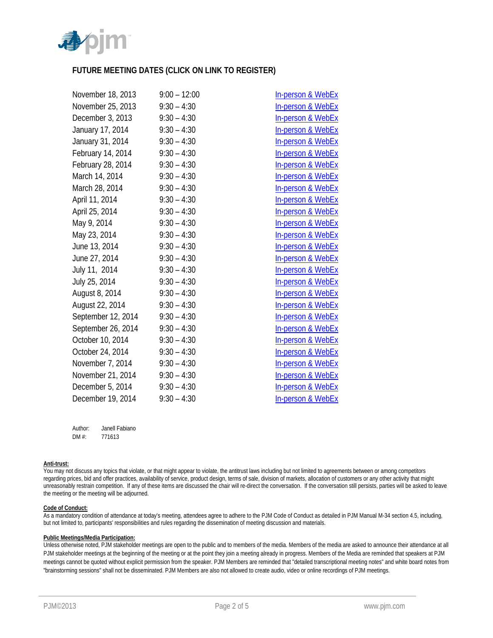

#### **FUTURE MEETING DATES (CLICK ON LINK TO REGISTER)**

| November 18, 2013              | $9:00 - 12:00$ | <b>In-person &amp; WebEx</b> |
|--------------------------------|----------------|------------------------------|
| November 25, 2013              | $9:30 - 4:30$  | <b>In-person &amp; WebEx</b> |
| December 3, 2013               | $9:30 - 4:30$  | <b>In-person &amp; WebEx</b> |
| January 17, 2014               | $9:30 - 4:30$  | In-person & WebEx            |
| January 31, 2014               | $9:30 - 4:30$  | In-person & WebEx            |
| February 14, 2014              | $9:30 - 4:30$  | <b>In-person &amp; WebEx</b> |
| February 28, 2014              | $9:30 - 4:30$  | In-person & WebEx            |
| March 14, 2014                 | $9:30 - 4:30$  | In-person & WebEx            |
| March 28, 2014                 | $9:30 - 4:30$  | In-person & WebEx            |
| April 11, 2014                 | $9:30 - 4:30$  | In-person & WebEx            |
| April 25, 2014                 | $9:30 - 4:30$  | <b>In-person &amp; WebEx</b> |
| May 9, 2014                    | $9:30 - 4:30$  | <b>In-person &amp; WebEx</b> |
| May 23, 2014                   | $9:30 - 4:30$  | <b>In-person &amp; WebEx</b> |
| June 13, 2014                  | $9:30 - 4:30$  | <b>In-person &amp; WebEx</b> |
| June 27, 2014                  | $9:30 - 4:30$  | <b>In-person &amp; WebEx</b> |
| July 11, 2014                  | $9:30 - 4:30$  | <b>In-person &amp; WebEx</b> |
| July 25, 2014                  | $9:30 - 4:30$  | <b>In-person &amp; WebEx</b> |
| August 8, 2014                 | $9:30 - 4:30$  | <b>In-person &amp; WebEx</b> |
| August 22, 2014                | $9:30 - 4:30$  | In-person & WebEx            |
| September 12, 2014             | $9:30 - 4:30$  | In-person & WebEx            |
| September 26, 2014             | $9:30 - 4:30$  | In-person & WebEx            |
| October 10, 2014               | $9:30 - 4:30$  | <b>In-person &amp; WebEx</b> |
| October 24, 2014               | $9:30 - 4:30$  | <b>In-person &amp; WebEx</b> |
| November 7, 2014               | $9:30 - 4:30$  | <b>In-person &amp; WebEx</b> |
| November 21, 2014              | $9:30 - 4:30$  | <b>In-person &amp; WebEx</b> |
| December 5, 2014 $9:30 - 4:30$ |                | <b>In-person &amp; WebEx</b> |
| December 19, 2014              | $9:30 - 4:30$  | In-person & WebEx            |

Author: Janell Fabiano DM #: 771613

#### **Anti-trust:**

You may not discuss any topics that violate, or that might appear to violate, the antitrust laws including but not limited to agreements between or among competitors regarding prices, bid and offer practices, availability of service, product design, terms of sale, division of markets, allocation of customers or any other activity that might unreasonably restrain competition. If any of these items are discussed the chair will re-direct the conversation. If the conversation still persists, parties will be asked to leave the meeting or the meeting will be adjourned.

#### **Code of Conduct:**

As a mandatory condition of attendance at today's meeting, attendees agree to adhere to the PJM Code of Conduct as detailed in PJM Manual M-34 section 4.5, including, but not limited to, participants' responsibilities and rules regarding the dissemination of meeting discussion and materials.

#### **Public Meetings/Media Participation:**

Unless otherwise noted, PJM stakeholder meetings are open to the public and to members of the media. Members of the media are asked to announce their attendance at all PJM stakeholder meetings at the beginning of the meeting or at the point they join a meeting already in progress. Members of the Media are reminded that speakers at PJM meetings cannot be quoted without explicit permission from the speaker. PJM Members are reminded that "detailed transcriptional meeting notes" and white board notes from "brainstorming sessions" shall not be disseminated. PJM Members are also not allowed to create audio, video or online recordings of PJM meetings.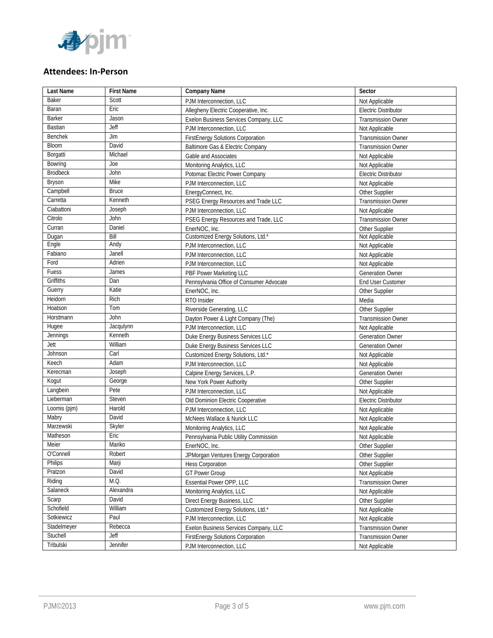

#### **Attendees: In‐Person**

| Last Name       | <b>First Name</b> | <b>Company Name</b>                      | Sector                      |
|-----------------|-------------------|------------------------------------------|-----------------------------|
| Baker           | Scott             | PJM Interconnection, LLC                 | Not Applicable              |
| Baran           | Eric              | Allegheny Electric Cooperative, Inc.     | <b>Electric Distributor</b> |
| Barker          | Jason             | Exelon Business Services Company, LLC    | <b>Transmission Owner</b>   |
| <b>Bastian</b>  | Jeff              | PJM Interconnection, LLC                 | Not Applicable              |
| <b>Benchek</b>  | Jim               | <b>FirstEnergy Solutions Corporation</b> | <b>Transmission Owner</b>   |
| Bloom           | David             | Baltimore Gas & Electric Company         | <b>Transmission Owner</b>   |
| Borgatti        | Michael           | Gable and Associates                     | Not Applicable              |
| Bowring         | Joe               | Monitoring Analytics, LLC                | Not Applicable              |
| <b>Brodbeck</b> | John              | Potomac Electric Power Company           | <b>Electric Distributor</b> |
| Bryson          | Mike              | PJM Interconnection, LLC                 | Not Applicable              |
| Campbell        | <b>Bruce</b>      | EnergyConnect, Inc.                      | Other Supplier              |
| Carretta        | Kenneth           | PSEG Energy Resources and Trade LLC      | <b>Transmission Owner</b>   |
| Ciabattoni      | Joseph            | PJM Interconnection, LLC                 | Not Applicable              |
| Citrolo         | John              | PSEG Energy Resources and Trade, LLC     | <b>Transmission Owner</b>   |
| Curran          | Daniel            | EnerNOC, Inc.                            | Other Supplier              |
| Dugan           | Bill              | Customized Energy Solutions, Ltd.*       | Not Applicable              |
| Engle           | Andy              | PJM Interconnection, LLC                 | Not Applicable              |
| Fabiano         | Janell            | PJM Interconnection, LLC                 | Not Applicable              |
| Ford            | Adrien            | PJM Interconnection, LLC                 | Not Applicable              |
| Fuess           | James             | PBF Power Marketing LLC                  | <b>Generation Owner</b>     |
| Griffiths       | Dan               | Pennsylvania Office of Consumer Advocate | <b>End User Customer</b>    |
| Guerry          | Katie             | EnerNOC, Inc.                            | Other Supplier              |
| Heidorn         | Rich              | RTO Insider                              | Media                       |
| Hoatson         | Tom               | Riverside Generating, LLC                | Other Supplier              |
| Horstmann       | John              | Dayton Power & Light Company (The)       | <b>Transmission Owner</b>   |
| Hugee           | Jacqulynn         | PJM Interconnection, LLC                 | Not Applicable              |
| Jennings        | Kenneth           | Duke Energy Business Services LLC        | <b>Generation Owner</b>     |
| Jett            | William           | Duke Energy Business Services LLC        | <b>Generation Owner</b>     |
| Johnson         | Carl              | Customized Energy Solutions, Ltd.*       | Not Applicable              |
| Keech           | Adam              | PJM Interconnection, LLC                 | Not Applicable              |
| Kerecman        | Joseph            | Calpine Energy Services, L.P.            | Generation Owner            |
| Kogut           | George            | New York Power Authority                 | Other Supplier              |
| Langbein        | Pete              | PJM Interconnection, LLC                 | Not Applicable              |
| Lieberman       | Steven            | Old Dominion Electric Cooperative        | <b>Electric Distributor</b> |
| Loomis (pjm)    | Harold            | PJM Interconnection, LLC                 | Not Applicable              |
| Mabry           | David             | McNees Wallace & Nurick LLC              | Not Applicable              |
| Marzewski       | Skyler            | Monitoring Analytics, LLC                | Not Applicable              |
| Matheson        | Eric              | Pennsylvania Public Utility Commission   | Not Applicable              |
| Meier           | Mariko            | EnerNOC, Inc.                            | Other Supplier              |
| O'Connell       | Robert            | JPMorgan Ventures Energy Corporation     | Other Supplier              |
| <b>Philips</b>  | Marji             | <b>Hess Corporation</b>                  | Other Supplier              |
| Pratzon         | David             | <b>GT Power Group</b>                    | Not Applicable              |
| Riding          | M.Q.              | Essential Power OPP, LLC                 | <b>Transmission Owner</b>   |
| Salaneck        | Alexandra         | Monitoring Analytics, LLC                | Not Applicable              |
| Scarp           | David             | Direct Energy Business, LLC              | Other Supplier              |
| Schofield       | William           | Customized Energy Solutions, Ltd.*       | Not Applicable              |
| Sotkiewicz      | Paul              | PJM Interconnection, LLC                 | Not Applicable              |
| Stadelmeyer     | Rebecca           | Exelon Business Services Company, LLC    | <b>Transmission Owner</b>   |
| Stuchell        | Jeff              | <b>FirstEnergy Solutions Corporation</b> | <b>Transmission Owner</b>   |
| Tribulski       | Jennifer          | PJM Interconnection, LLC                 | Not Applicable              |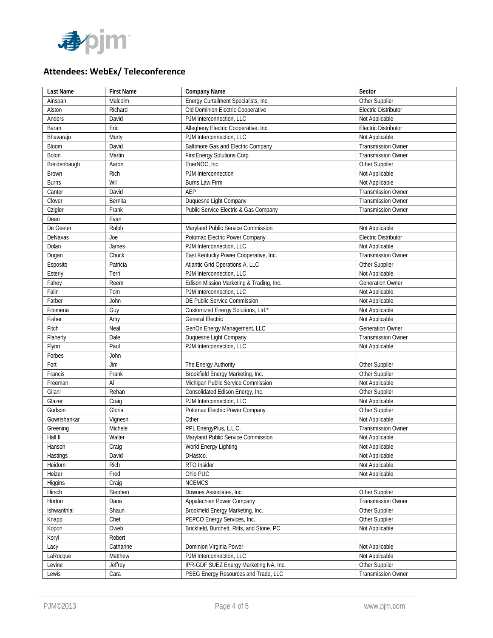

# **Attendees: WebEx/ Teleconference**

| <b>Last Name</b> | <b>First Name</b> | Company Name                               | Sector                      |
|------------------|-------------------|--------------------------------------------|-----------------------------|
| Ainspan          | Malcolm           | Energy Curtailment Specialists, Inc.       | Other Supplier              |
| Alston           | Richard           | Old Dominion Electric Cooperative          | Electric Distributor        |
| Anders           | David             | PJM Interconnection, LLC                   | Not Applicable              |
| Baran            | Eric              | Allegheny Electric Cooperative, Inc.       | <b>Electric Distributor</b> |
| Bhavaraju        | Murty             | PJM Interconnection, LLC                   | Not Applicable              |
| Bloom            | David             | <b>Baltimore Gas and Electric Company</b>  | <b>Transmission Owner</b>   |
| Bolon            | Martin            | FirstEnergy Solutions Corp.                | <b>Transmission Owner</b>   |
| Breidenbaugh     | Aaron             | EnerNOC, Inc.                              | Other Supplier              |
| <b>Brown</b>     | Rich              | PJM Interconnection                        | Not Applicable              |
| <b>Burns</b>     | Wil               | Burns Law Firm                             | Not Applicable              |
| Canter           | David             | AEP                                        | <b>Transmission Owner</b>   |
| Clover           | Bernita           | Duquesne Light Company                     | <b>Transmission Owner</b>   |
| Czigler          | Frank             | Public Service Electric & Gas Company      | <b>Transmission Owner</b>   |
| Dean             | Evan              |                                            |                             |
| De Geeter        | Ralph             | Maryland Public Service Commission         | Not Applicable              |
| DeNavas          | Joe               | Potomac Electric Power Company             | <b>Electric Distributor</b> |
| Dolan            | James             | PJM Interconnection, LLC                   | Not Applicable              |
| Dugan            | Chuck             | East Kentucky Power Cooperative, Inc.      | Transmission Owner          |
| Esposito         | Patricia          | Atlantic Grid Operations A, LLC            | Other Supplier              |
| Esterly          | Terri             | PJM Interconnection, LLC                   | Not Applicable              |
| Fahey            | Reem              | Edison Mission Marketing & Trading, Inc.   | <b>Generation Owner</b>     |
| Falin            | Tom               | PJM Interconnection, LLC                   | Not Applicable              |
| Farber           | John              | DE Public Service Commission               | Not Applicable              |
| Filomena         | Guy               | Customized Energy Solutions, Ltd.*         | Not Applicable              |
| Fisher           | Amy               | <b>General Electric</b>                    | Not Applicable              |
| Fitch            | Neal              | GenOn Energy Management, LLC               | <b>Generation Owner</b>     |
| Flaherty         | Dale              | Duquesne Light Company                     | <b>Transmission Owner</b>   |
| Flynn            | Paul              | PJM Interconnection, LLC                   | Not Applicable              |
| Forbes           | John              |                                            |                             |
| Fort             | Jim               | The Energy Authority                       | Other Supplier              |
| Francis          | Frank             | Brookfield Energy Marketing, Inc.          | Other Supplier              |
| Freeman          | Al                | Michigan Public Service Commission         | Not Applicable              |
| Gilani           | Rehan             | Consolidated Edison Energy, Inc.           | Other Supplier              |
| Glazer           | Craig             | PJM Interconnection, LLC                   | Not Applicable              |
| Godson           | Gloria            | Potomac Electric Power Company             | Other Supplier              |
| Gowrishankar     | Vignesh           | Other                                      | Not Applicable              |
| Greening         | Michele           | PPL EnergyPlus, L.L.C.                     | Transmission Owner          |
| Hall II          | Walter            | Maryland Public Service Commission         | Not Applicable              |
| Hanson           | Craig             | World Energy Lighting                      | Not Applicable              |
| Hastings         | David             | DHastco.                                   | Not Applicable              |
| Heidorn          | Rich              | RTO Insider                                | Not Applicable              |
| Heizer           | Fred              | Ohio PUC                                   | Not Applicable              |
| Higgins          | Craig             | <b>NCEMCS</b>                              |                             |
| Hirsch           | Stephen           | Downes Associates, Inc.                    | Other Supplier              |
| Horton           | Dana              | Appalachian Power Company                  | Transmission Owner          |
| Ishwanthlal      | Shaun             | Brookfield Energy Marketing, Inc.          | Other Supplier              |
| Knapp            | Chet              | PEPCO Energy Services, Inc.                | Other Supplier              |
| Kopon            | Oweb              | Brickfield, Burchett, Ritts, and Stone, PC | Not Applicable              |
| Koryl            | Robert            |                                            |                             |
| Lacy             | Catharine         | Dominion Virginia Power                    | Not Applicable              |
| LaRocque         | Matthew           | PJM Interconnection, LLC                   | Not Applicable              |
| Levine           | Jeffrey           | IPR-GDF SUEZ Energy Marketing NA, Inc.     | Other Supplier              |
| Lewis            | Cara              | PSEG Energy Resources and Trade, LLC       | <b>Transmission Owner</b>   |